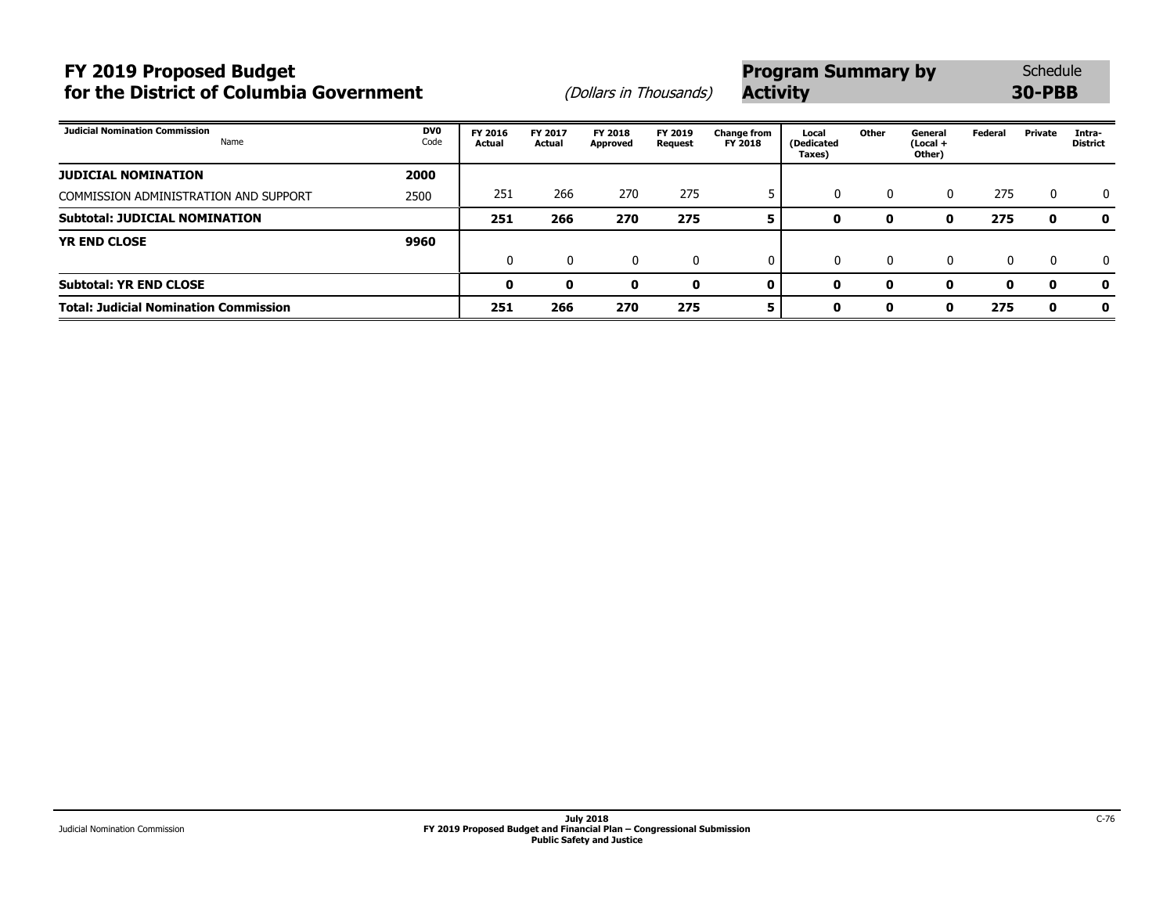# **FY 2019 Proposed Budget** Schedule **Program Summary by** Schedule **for the District of Columbia Government** (Dollars in Thousands) **Activity 1998 Activity 30-PBB**

| <b>Judicial Nomination Commission</b><br>Name | <b>DV0</b><br>Code | FY 2016<br>Actual | FY 2017<br>Actual | <b>FY 2018</b><br>Approved | FY 2019<br>Request | <b>Change from</b><br>FY 2018 | Local<br>(Dedicated<br>Taxes) | Other    | General<br>(Local +<br>Other) | Federal | Private      | Intra-<br><b>District</b> |
|-----------------------------------------------|--------------------|-------------------|-------------------|----------------------------|--------------------|-------------------------------|-------------------------------|----------|-------------------------------|---------|--------------|---------------------------|
| <b>JUDICIAL NOMINATION</b>                    | 2000               |                   |                   |                            |                    |                               |                               |          |                               |         |              |                           |
| COMMISSION ADMINISTRATION AND SUPPORT         | 2500               | 251               | 266               | 270                        | 275                |                               | $\mathbf{0}$                  | $\Omega$ | 0                             | 275     | 0            | $\mathbf{0}$              |
| <b>Subtotal: JUDICIAL NOMINATION</b>          |                    | 251               | 266               | 270                        | 275                | 5                             | 0                             | 0        | 0                             | 275     | 0            | 0                         |
| <b>YR END CLOSE</b>                           | 9960               |                   |                   |                            |                    |                               |                               |          |                               |         |              |                           |
|                                               |                    | 0                 | 0                 | 0                          | $\mathbf{0}$       | 0                             | $\mathbf{0}$                  |          | 0                             | 0       | $\mathbf{0}$ | $\mathbf{0}$              |
| <b>Subtotal: YR END CLOSE</b>                 |                    | 0                 | 0                 | 0                          | 0                  | 0                             | 0                             | n        | 0                             | 0       | 0            | 0                         |
| <b>Total: Judicial Nomination Commission</b>  |                    | 251               | 266               | 270                        | 275                | 5                             | 0                             | 0        | 0                             | 275     | 0            | 0                         |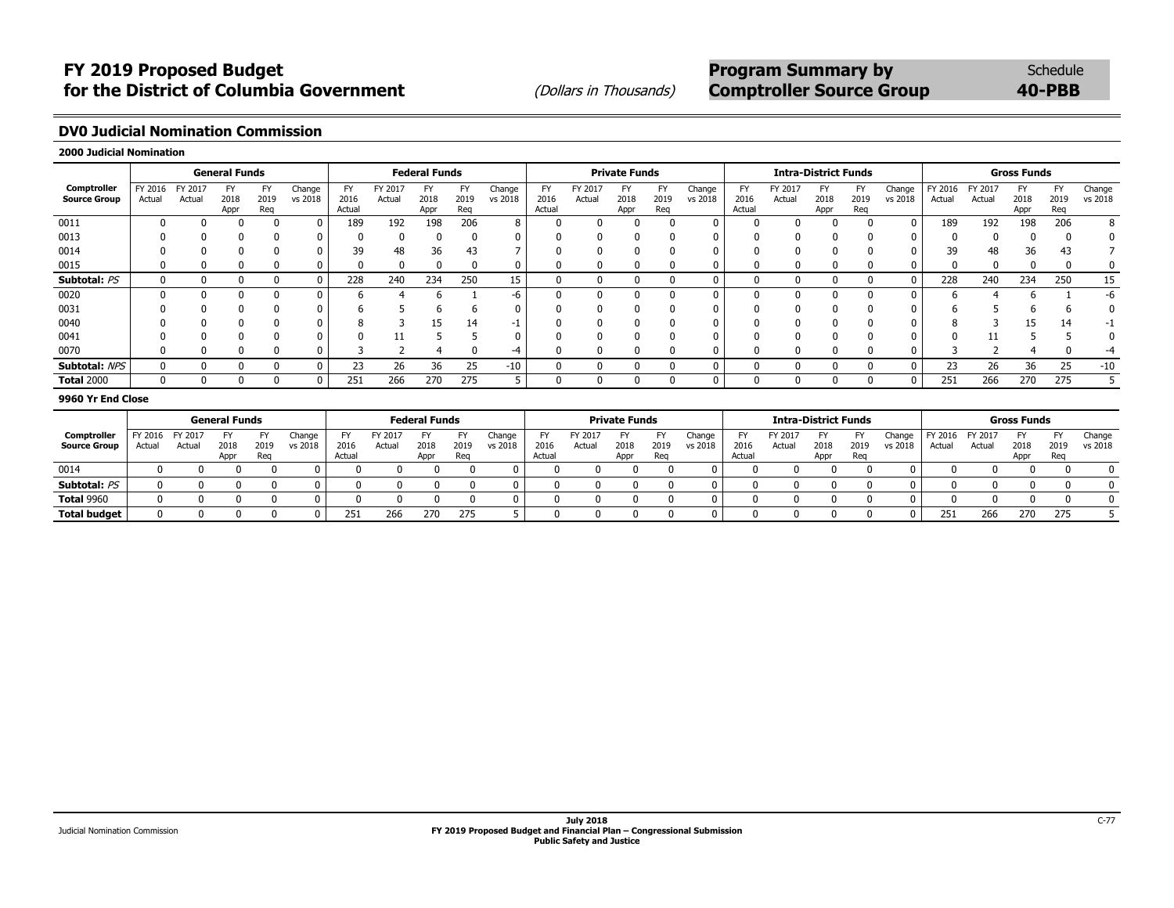## **DV0 Judicial Nomination Commission**

#### **2000 Judicial Nomination**

|                                    |                   |                   | <b>General Funds</b>      |                          |                   |                             |                   | <b>Federal Funds</b>      |                   |                          |                             |                   | <b>Private Funds</b> |                   |                   |                             |                   | <b>Intra-District Funds</b> |                          |                   |                   |                  | <b>Gross Funds</b> |                          |                   |
|------------------------------------|-------------------|-------------------|---------------------------|--------------------------|-------------------|-----------------------------|-------------------|---------------------------|-------------------|--------------------------|-----------------------------|-------------------|----------------------|-------------------|-------------------|-----------------------------|-------------------|-----------------------------|--------------------------|-------------------|-------------------|------------------|--------------------|--------------------------|-------------------|
| Comptroller<br><b>Source Group</b> | FY 2016<br>Actual | FY 2017<br>Actual | <b>FY</b><br>2018<br>Appr | <b>FY</b><br>2019<br>Reg | Change<br>vs 2018 | <b>FY</b><br>2016<br>Actual | FY 2017<br>Actual | <b>FY</b><br>2018<br>Appr | FY<br>2019<br>Reg | Change<br>vs 2018        | <b>FY</b><br>2016<br>Actual | FY 2017<br>Actual | FY<br>2018<br>Appr   | FY<br>2019<br>Reg | Change<br>vs 2018 | <b>FY</b><br>2016<br>Actual | FY 2017<br>Actual | FY<br>2018<br>Appr          | <b>FY</b><br>2019<br>Reg | Change<br>vs 2018 | FY 2016<br>Actual | FY 2017<br>Actua | 2018<br>Appr       | <b>FY</b><br>2019<br>Reg | Change<br>vs 2018 |
| 0011                               |                   |                   |                           | $\Omega$                 |                   | 189                         | 192               | 198                       | 206               | 8                        |                             |                   |                      |                   | $\mathbf{0}$      |                             |                   |                             |                          | $\Omega$          | 189               | 192              | 198                | 206                      | 8                 |
| 0013                               |                   |                   |                           | $\Omega$                 |                   |                             |                   |                           |                   | 0                        |                             |                   |                      |                   | 0                 |                             | O                 | 0                           |                          |                   |                   |                  |                    |                          |                   |
| 0014                               |                   |                   |                           | $\Omega$                 |                   | 39                          | 48                | 36                        | 43                | $\overline{\phantom{a}}$ |                             |                   |                      |                   | 0                 |                             |                   |                             |                          |                   | 39                | 48               | 36                 | 43                       |                   |
| 0015                               |                   |                   |                           |                          |                   |                             |                   |                           |                   | 0                        |                             |                   |                      |                   |                   |                             |                   |                             |                          |                   |                   |                  |                    |                          |                   |
| Subtotal: PS                       | 0                 |                   |                           | 0                        |                   | 228                         | 240               | 234                       | 250               | 15                       |                             | 0                 |                      |                   | 0                 | $\Omega$                    | 0                 |                             | $^{(1)}$                 |                   | 228               | 240              | 234                | 250                      | 15                |
| 0020                               | $\Omega$          |                   |                           | $\Omega$                 |                   |                             |                   |                           |                   | -6                       |                             | $\Omega$          |                      |                   | 0                 | $\Omega$                    | 0                 | 0                           | $\Omega$                 |                   |                   |                  |                    |                          | -6                |
| 0031                               |                   |                   |                           |                          |                   |                             |                   |                           |                   | 0                        |                             |                   |                      |                   | 0                 |                             |                   |                             |                          |                   |                   |                  |                    |                          |                   |
| 0040                               |                   |                   |                           |                          |                   |                             |                   | 15                        | 14                | $-1$                     |                             |                   |                      |                   |                   |                             |                   |                             |                          |                   |                   |                  | 15                 |                          |                   |
| 0041                               |                   |                   |                           | $\Omega$                 |                   |                             |                   |                           |                   | 0                        |                             | 0                 |                      |                   | 0                 |                             | 0                 |                             |                          |                   |                   |                  |                    |                          |                   |
| 0070                               |                   |                   |                           | 0                        |                   |                             |                   |                           |                   | -4                       |                             | 0                 |                      |                   | 0                 |                             |                   |                             |                          |                   |                   |                  |                    |                          | -4                |
| Subtotal: NPS                      | $\Omega$          |                   |                           |                          |                   | 23                          | 26                | 36                        | 25                | $-10$                    |                             |                   |                      |                   | 0                 |                             |                   |                             |                          |                   | 23                | 26               | 36                 | 25                       | $-10$             |
| <b>Total 2000</b>                  | $\Omega$          |                   |                           | 0                        | $\Omega$          | 251                         | 266               | 270                       | 275               | 5                        |                             | 0                 |                      |                   | $\mathbf 0$       | $\Omega$                    | 0                 | 0                           | 0                        | $\Omega$          | 251               | 266              | 270                | 275                      |                   |
|                                    |                   |                   |                           |                          |                   |                             |                   |                           |                   |                          |                             |                   |                      |                   |                   |                             |                   |                             |                          |                   |                   |                  |                    |                          |                   |

#### **9960 Yr End Close**

|                     |         |         | <b>General Funds</b> |             |         |                |        | <b>Federal Funds</b> |             |         |                |         | <b>Private Funds</b> |             |         |                |         | <b>Intra-District Funds</b> |             |         |         |         | <b>Gross Funds</b> |             |         |
|---------------------|---------|---------|----------------------|-------------|---------|----------------|--------|----------------------|-------------|---------|----------------|---------|----------------------|-------------|---------|----------------|---------|-----------------------------|-------------|---------|---------|---------|--------------------|-------------|---------|
| Comptroller         | FY 2016 | FY 2017 | FY.                  |             | Change  |                | Y 2017 |                      | EV          | Change  | FY             | FY 2017 |                      |             | Change  | <b>FY</b>      | rY 2017 |                             | F۱          | Change  | FY 2016 | FY 2017 | rv.                |             | Change  |
| <b>Source Group</b> | Actual  | Actual  | 2018<br>Appr         | 2019<br>Reg | vs 2018 | 2016<br>Actual | Actual | 2018<br>Appr         | 2019<br>Reg | vs 2018 | 2016<br>Actual | Actur   | 2018<br>Appr         | 2019<br>Rec | vs 2018 | 2016<br>Actual | Actual  | 2018<br>Appr                | 2019<br>Rec | vs 2018 | Actua   | Actual  | 2018               | 2019<br>Reg | vs 2018 |
|                     |         |         |                      |             |         |                |        |                      |             |         |                |         |                      |             |         |                |         |                             |             |         |         |         | Appr               |             |         |
| 0014                |         |         |                      |             |         |                |        |                      |             |         |                |         |                      |             |         |                |         |                             |             |         |         |         |                    |             |         |
| Subtotal: PS        |         |         |                      |             |         |                |        |                      |             |         |                |         |                      |             |         |                |         |                             |             |         |         |         |                    |             |         |
| <b>Total 9960</b>   |         |         |                      |             |         |                |        |                      |             |         |                |         |                      |             |         |                |         |                             |             |         |         |         |                    |             |         |
| <b>Total budget</b> |         |         |                      |             |         | 251            | 266    |                      | 275         |         |                |         |                      |             |         |                |         |                             |             |         | 251     | 266     | 270                | 275         |         |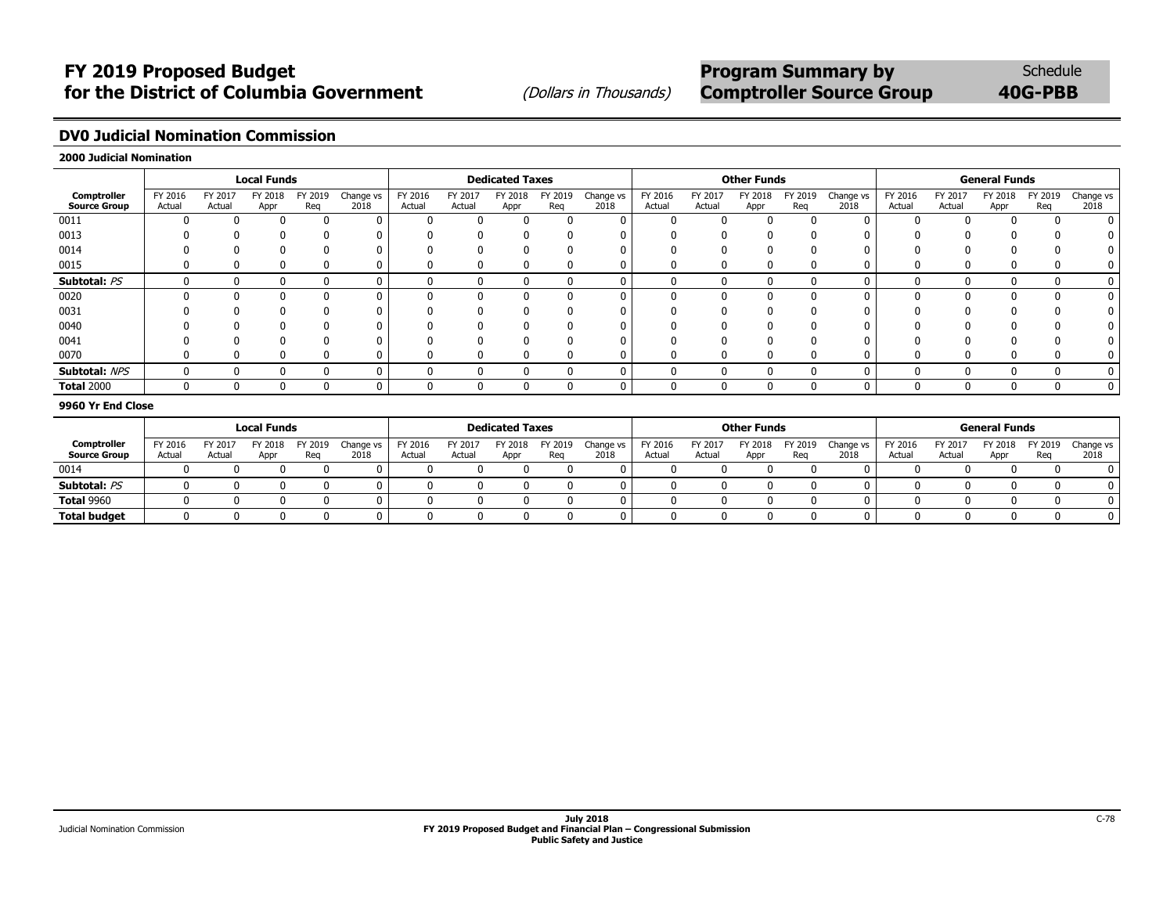## **DV0 Judicial Nomination Commission**

#### **2000 Judicial Nomination**

|                                    |                   |                   | <b>Local Funds</b> |                |                   |                   |                   | <b>Dedicated Taxes</b> |                |                   |                   |                   | <b>Other Funds</b> |                |                   |                   |                   | <b>General Funds</b> |                |                   |
|------------------------------------|-------------------|-------------------|--------------------|----------------|-------------------|-------------------|-------------------|------------------------|----------------|-------------------|-------------------|-------------------|--------------------|----------------|-------------------|-------------------|-------------------|----------------------|----------------|-------------------|
| Comptroller<br><b>Source Group</b> | FY 2016<br>Actual | FY 2017<br>Actual | FY 2018<br>Appr    | FY 2019<br>Reg | Change vs<br>2018 | FY 2016<br>Actual | FY 2017<br>Actual | FY 2018<br>Appr        | FY 2019<br>Reg | Change vs<br>2018 | FY 2016<br>Actual | FY 2017<br>Actual | FY 2018<br>Appr    | FY 2019<br>Reg | Change vs<br>2018 | FY 2016<br>Actual | FY 2017<br>Actual | FY 2018<br>Appr      | FY 2019<br>Reg | Change vs<br>2018 |
| 0011                               |                   |                   |                    |                | Ω                 |                   |                   |                        | $\Omega$       |                   |                   |                   |                    |                |                   | 0                 |                   |                      |                |                   |
| 0013                               |                   |                   |                    |                |                   |                   |                   |                        | $\Omega$       | 0                 |                   |                   |                    |                |                   | 0                 |                   |                      | υ              |                   |
| 0014                               |                   |                   |                    |                |                   |                   |                   |                        |                |                   |                   |                   |                    |                |                   | 0                 |                   |                      |                |                   |
| 0015                               |                   |                   |                    | U              | 0                 |                   |                   |                        | 0              | 0                 |                   |                   |                    |                |                   | 0                 | υ                 |                      | 0              | 0                 |
| Subtotal: PS                       |                   |                   |                    | $\Omega$       |                   |                   |                   |                        | 0              | 0                 | $\Omega$          |                   |                    |                |                   | $\Omega$          |                   |                      | υ              | 0                 |
| 0020                               |                   |                   |                    | O              |                   |                   |                   |                        | 0              | 0                 | $\Omega$          |                   |                    |                |                   | 0                 |                   |                      | U              | 0                 |
| 0031                               |                   |                   |                    |                |                   |                   |                   |                        | ŋ              |                   |                   |                   |                    |                |                   | O                 |                   |                      |                |                   |
| 0040                               |                   |                   |                    |                |                   |                   |                   |                        |                |                   |                   |                   |                    |                |                   |                   |                   |                      |                |                   |
| 0041                               |                   |                   |                    |                |                   |                   |                   |                        | n              | O                 |                   |                   |                    |                |                   | $\Omega$          |                   |                      |                |                   |
| 0070                               |                   |                   |                    | O              |                   |                   |                   |                        | $\mathbf{0}$   |                   |                   |                   |                    |                |                   |                   |                   |                      | U              | 0                 |
| Subtotal: NPS                      |                   |                   |                    | $\Omega$       | 0                 |                   |                   |                        | $\mathbf{0}$   | $\bf{0}$          | $\Omega$          |                   |                    |                |                   | $\mathbf{0}$      |                   |                      | ŋ              | $\Omega$          |
| <b>Total 2000</b>                  |                   |                   |                    |                |                   |                   |                   |                        | $\Omega$       | 0                 |                   |                   |                    |                |                   | 0                 |                   |                      |                | 0                 |

#### **9960 Yr End Close**

|                     |         |         | <b>Local Funds</b> |         |           |         |         | <b>Dedicated Taxes</b> |         |           |         |         | <b>Other Funds</b> |         |           |         |        | <b>General Funds</b> |         |           |
|---------------------|---------|---------|--------------------|---------|-----------|---------|---------|------------------------|---------|-----------|---------|---------|--------------------|---------|-----------|---------|--------|----------------------|---------|-----------|
| Comptroller         | FY 2016 | FY 2017 | FY 2018            | FY 2019 | Change vs | FY 2016 | FY 2017 | FY 2018                | TY 2019 | Change vs | FY 2016 | FY 2017 | FY 2018            | FY 2019 | Change vs | FY 2016 |        | FY 2018              | TY 2019 | Change vs |
| <b>Source Group</b> | Actual  | Actual  | Appr               | Rea     | 2018      | Actual  | Actua   | Appr                   | Rec     | 2018      | Actual  | Actual  | Appr               | Reg     | 2018      | Actual  | Actual | Appr                 | Reo     | 2018      |
| 0014                |         |         |                    |         |           |         |         |                        |         |           |         |         |                    |         |           |         |        |                      |         |           |
| Subtotal: PS        |         |         |                    |         |           |         |         |                        |         |           |         |         |                    |         |           |         |        |                      |         |           |
| <b>Total 9960</b>   |         |         |                    |         |           |         |         |                        |         |           |         |         |                    |         |           |         |        |                      |         |           |
| <b>Total budget</b> |         |         |                    |         |           |         |         |                        |         |           |         |         |                    |         |           |         |        |                      |         |           |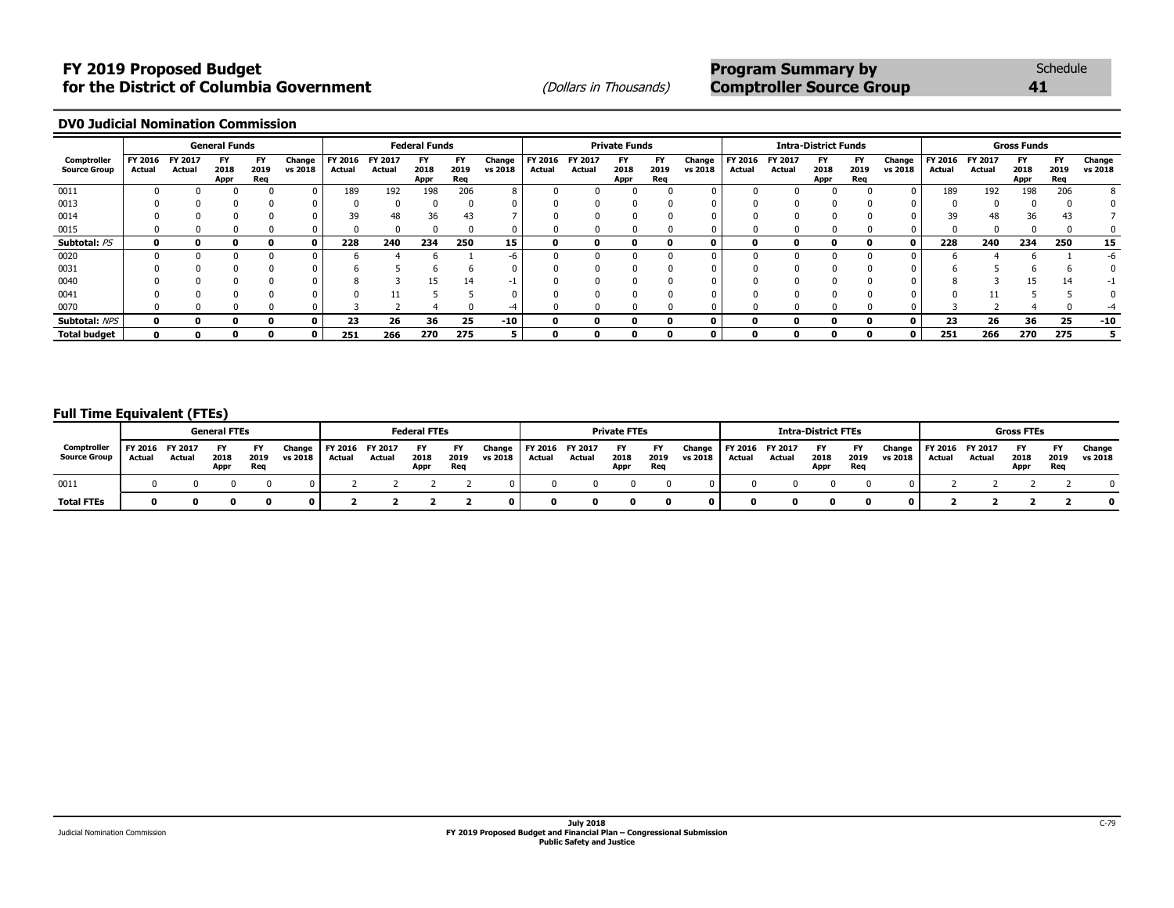## **FY 2019 Proposed Budget**<br> **FY 2019 Proposed Budget**<br> **For the District of Columbia Government Program Summary by** Schedule<br> *(Dollars in Thousands)* Comptroller Source Group 41 **for the District of Columbia Government** (*Dollars in Thousands*) **Comptroller Source Group 41 41**

**DV0 Judicial Nomination Commission**

|                                    |                   |                   | <b>General Funds</b> |                   |                   |                   |                   | <b>Federal Funds</b> |                          |                   |                   |                   | <b>Private Funds</b>      |                   |                   |                   |                   | <b>Intra-District Funds</b> |                   |                   |                          |                   | <b>Gross Funds</b> |                   |                   |
|------------------------------------|-------------------|-------------------|----------------------|-------------------|-------------------|-------------------|-------------------|----------------------|--------------------------|-------------------|-------------------|-------------------|---------------------------|-------------------|-------------------|-------------------|-------------------|-----------------------------|-------------------|-------------------|--------------------------|-------------------|--------------------|-------------------|-------------------|
| Comptroller<br><b>Source Group</b> | FY 2016<br>Actual | FY 2017<br>Actual | 2018<br>Appr         | FY<br>2019<br>Req | Change<br>vs 2018 | FY 2016<br>Actual | FY 2017<br>Actual | FY<br>2018<br>Appr   | <b>FY</b><br>2019<br>Req | Change<br>vs 2018 | FY 2016<br>Actual | FY 2017<br>Actual | <b>FY</b><br>2018<br>Appr | FY<br>2019<br>Req | Change<br>vs 2018 | FY 2016<br>Actual | FY 2017<br>Actual | FY<br>2018<br>Appr          | FY<br>2019<br>Req | Change<br>vs 2018 | <b>FY 2016</b><br>Actual | FY 2017<br>Actual | FY<br>2018<br>Appr | FY<br>2019<br>Req | Change<br>vs 2018 |
| 0011                               |                   |                   |                      |                   |                   | 189               | 192               | 198                  | 206                      |                   |                   |                   |                           |                   |                   |                   |                   |                             |                   |                   | 189                      | 192               | 198                | 206               | 8                 |
| 0013                               |                   |                   |                      |                   |                   |                   |                   |                      |                          |                   |                   |                   |                           |                   |                   |                   |                   |                             |                   |                   |                          |                   |                    |                   |                   |
| 0014                               |                   |                   |                      |                   |                   | 39                | 48                | 36                   | 43                       |                   |                   |                   |                           |                   |                   |                   |                   |                             |                   |                   | 39                       | 48                | 36                 | 43                |                   |
| 0015                               |                   |                   |                      |                   |                   |                   |                   |                      |                          |                   |                   |                   |                           |                   |                   |                   |                   |                             |                   |                   |                          |                   |                    |                   |                   |
| Subtotal: PS                       | n                 |                   |                      | ш                 | 0                 | 228               | 240               | 234                  | 250                      | 15                |                   | o                 |                           |                   | $\Omega$          |                   |                   |                             |                   | $\Omega$          | 228                      | 240               | 234                | 250               | 15                |
| 0020                               |                   |                   |                      |                   |                   |                   |                   |                      |                          | -6                |                   |                   |                           |                   |                   |                   |                   |                             |                   |                   |                          |                   |                    |                   |                   |
| 0031                               |                   |                   |                      |                   |                   |                   |                   |                      |                          |                   |                   |                   |                           |                   |                   |                   |                   |                             |                   |                   |                          |                   |                    |                   |                   |
| 0040                               |                   |                   |                      |                   |                   |                   |                   | 15                   |                          |                   |                   |                   |                           |                   |                   |                   |                   |                             |                   |                   |                          |                   | 15                 | 14                |                   |
| 0041                               |                   |                   |                      |                   |                   |                   |                   |                      |                          |                   |                   |                   |                           |                   |                   |                   |                   |                             |                   |                   |                          |                   |                    |                   |                   |
| 0070                               |                   |                   |                      |                   |                   |                   |                   |                      |                          | -4                |                   |                   |                           |                   |                   |                   |                   |                             |                   |                   |                          |                   |                    |                   |                   |
| Subtotal: NPS                      | n                 |                   |                      | o                 | 0                 | 23                | 26                | 36                   | 25                       | $-10$             |                   | o                 | 0                         |                   | 0                 | n                 |                   |                             |                   | $\Omega$          | 23                       | 26                | 36                 | 25                | $-10$             |
| <b>Total budget</b>                |                   |                   |                      |                   | 0                 | 251               | 266               | 270                  | 275                      |                   |                   |                   |                           |                   | 0                 |                   |                   |                             |                   | $\mathbf{0}$      | 251                      | 266               | 270                | 275               |                   |

### **Full Time Equivalent (FTEs)**

|                                    |                           |        | <b>General FTEs</b> |             |                   |                           |        | <b>Federal FTEs</b> |                          |                   |                   |                   | <b>Private FTEs</b> |                          |         |                            |                   | <b>Intra-District FTEs</b> |                   |                   |                          |                   | <b>Gross FTEs</b> |             |                   |
|------------------------------------|---------------------------|--------|---------------------|-------------|-------------------|---------------------------|--------|---------------------|--------------------------|-------------------|-------------------|-------------------|---------------------|--------------------------|---------|----------------------------|-------------------|----------------------------|-------------------|-------------------|--------------------------|-------------------|-------------------|-------------|-------------------|
| Comptroller<br><b>Source Group</b> | FY 2016 FY 2017<br>Actual | Actual | 2018<br>Appr        | 2019<br>Reg | Change<br>vs 2018 | FY 2016 FY 2017<br>Actual | Actual | FY<br>2018<br>Appr  | <b>FY</b><br>2019<br>Req | Change<br>vs 2018 | FY 2016<br>Actual | FY 2017<br>Actual | FY<br>2018<br>Appr  | <b>FY</b><br>2019<br>Req | vs 2018 | Change   FY 2016<br>Actual | FY 2017<br>Actual | 2018<br>Appr               | FY<br>2019<br>Reg | Change<br>vs 2018 | <b>FY 2016</b><br>Actual | FY 2017<br>Actual | 2018<br>Appr      | 2019<br>Req | Change<br>vs 2018 |
| 0011                               |                           |        |                     |             |                   |                           |        |                     |                          |                   |                   |                   |                     |                          |         |                            |                   |                            |                   |                   |                          |                   |                   |             | n.                |
| <b>Total FTEs</b>                  |                           |        |                     |             |                   |                           |        |                     |                          |                   |                   |                   |                     |                          |         |                            |                   |                            |                   |                   |                          |                   |                   |             |                   |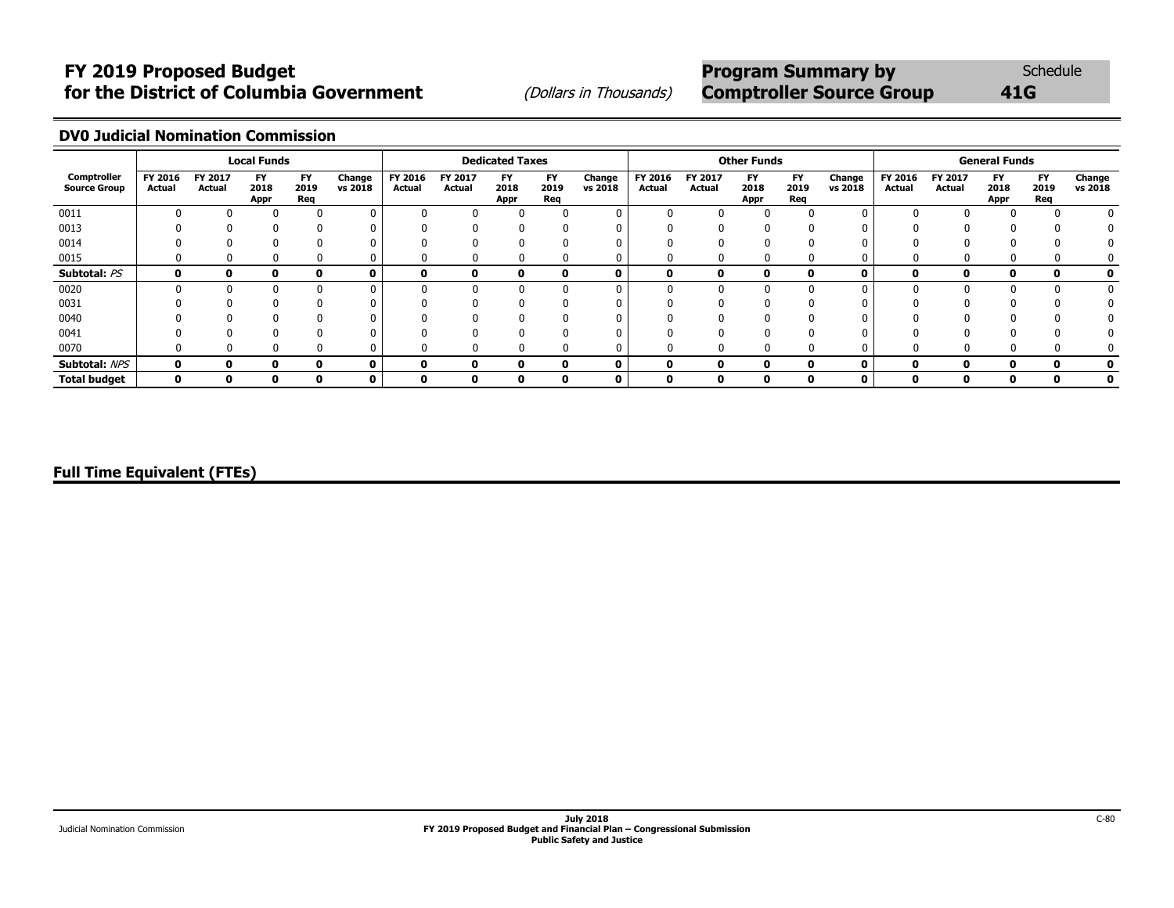# **FY 2019 Proposed Budget** *COLORET SUMMARY BY Schedule* **Program Summary by** Schedule **for the District of Columbia Government** (Dollars in Thousands) **Comptroller Source Group** 41G

## **DV0 Judicial Nomination Commission**

|                                    |                   |                   | <b>Local Funds</b>        |                   |                   |                   |                   | <b>Dedicated Taxes</b>    |                   |                   |                   |                   | <b>Other Funds</b>  |                   |                   |                   |                          | <b>General Funds</b>      |                          |                   |
|------------------------------------|-------------------|-------------------|---------------------------|-------------------|-------------------|-------------------|-------------------|---------------------------|-------------------|-------------------|-------------------|-------------------|---------------------|-------------------|-------------------|-------------------|--------------------------|---------------------------|--------------------------|-------------------|
| Comptroller<br><b>Source Group</b> | FY 2016<br>Actual | FY 2017<br>Actual | <b>FY</b><br>2018<br>Appr | FY<br>2019<br>Reg | Change<br>vs 2018 | FY 2016<br>Actual | FY 2017<br>Actual | <b>FY</b><br>2018<br>Appr | FY<br>2019<br>Req | Change<br>vs 2018 | FY 2016<br>Actual | FY 2017<br>Actual | FY.<br>2018<br>Appr | FY<br>2019<br>Req | Change<br>vs 2018 | FY 2016<br>Actual | FY 2017<br><b>Actual</b> | <b>FY</b><br>2018<br>Appr | <b>FY</b><br>2019<br>Req | Change<br>vs 2018 |
| 0011                               | 0                 |                   |                           |                   | $\mathbf{0}$      |                   |                   |                           |                   |                   |                   |                   |                     |                   | $\Omega$          | $\Omega$          |                          |                           |                          |                   |
| 0013                               |                   |                   |                           |                   |                   |                   |                   |                           |                   |                   |                   |                   |                     |                   |                   |                   |                          |                           |                          |                   |
| 0014                               |                   |                   |                           |                   |                   |                   |                   |                           |                   |                   |                   |                   |                     |                   |                   |                   |                          |                           |                          |                   |
| 0015                               | 0                 | -0                |                           |                   | 0                 |                   | ŋ                 | 0                         | 0                 |                   |                   |                   |                     |                   | $\Omega$          | 0                 | $\Omega$                 | u                         |                          |                   |
| Subtotal: PS                       | 0                 |                   |                           |                   | 0                 | 0                 | ŋ                 |                           | 0                 |                   |                   |                   | 0                   | n.                | 0                 | $\Omega$          | ŋ                        |                           | Ω                        |                   |
| 0020                               |                   |                   |                           |                   | 0                 |                   |                   |                           |                   |                   |                   |                   |                     |                   |                   |                   |                          |                           |                          |                   |
| 0031                               |                   |                   |                           |                   |                   |                   |                   |                           |                   |                   |                   |                   |                     |                   |                   |                   |                          |                           |                          |                   |
| 0040                               |                   |                   |                           |                   |                   |                   |                   |                           |                   |                   |                   |                   |                     |                   |                   |                   |                          |                           |                          |                   |
| 0041                               |                   |                   |                           |                   |                   |                   |                   |                           |                   |                   |                   |                   |                     |                   |                   |                   |                          |                           |                          |                   |
| 0070                               | 0                 | 0                 |                           |                   | 0                 |                   |                   | o                         | 0                 |                   |                   |                   |                     |                   | $\Omega$          | $\Omega$          | $\mathbf{0}$             |                           |                          |                   |
| Subtotal: NPS                      | 0                 |                   |                           | 0                 | 0                 | 0                 | O                 |                           | 0                 |                   |                   | 0                 | $\mathbf{0}$        | n                 | 0                 | 0                 | 0                        |                           | 0                        |                   |
| <b>Total budget</b>                | 0                 | 0                 | 0                         | $\mathbf o$       | 0                 | 0                 | 0                 | o                         | 0                 | 0                 |                   | 0                 | $\mathbf 0$         | 0                 | 0                 | 0                 | 0                        | 0                         | 0                        |                   |

## **Full Time Equivalent (FTEs)**